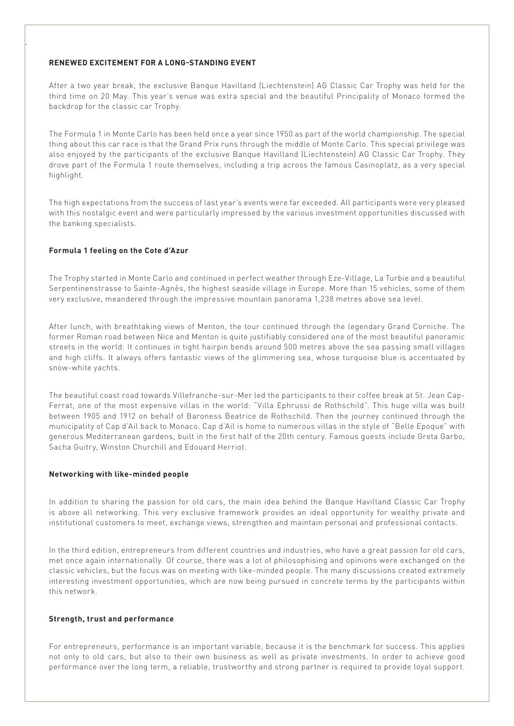#### **RENEWED EXCITEMENT FOR A LONG-STANDING EVENT**

.

After a two year break, the exclusive Banque Havilland (Liechtenstein) AG Classic Car Trophy was held for the third time on 20 May. This year's venue was extra special and the beautiful Principality of Monaco formed the backdrop for the classic car Trophy.

The Formula 1 in Monte Carlo has been held once a year since 1950 as part of the world championship. The special thing about this car race is that the Grand Prix runs through the middle of Monte Carlo. This special privilege was also enjoyed by the participants of the exclusive Banque Havilland (Liechtenstein) AG Classic Car Trophy. They drove part of the Formula 1 route themselves, including a trip across the famous Casinoplatz, as a very special highlight.

The high expectations from the success of last year's events were far exceeded. All participants were very pleased with this nostalgic event and were particularly impressed by the various investment opportunities discussed with the banking specialists.

#### **Formula 1 feeling on the Cote d'Azur**

The Trophy started in Monte Carlo and continued in perfect weather through Eze-Village, La Turbie and a beautiful Serpentinenstrasse to Sainte-Agnès, the highest seaside village in Europe. More than 15 vehicles, some of them very exclusive, meandered through the impressive mountain panorama 1,238 metres above sea level.

After lunch, with breathtaking views of Menton, the tour continued through the legendary Grand Corniche. The former Roman road between Nice and Menton is quite justifiably considered one of the most beautiful panoramic streets in the world: It continues in tight hairpin bends around 500 metres above the sea passing small villages and high cliffs. It always offers fantastic views of the glimmering sea, whose turquoise blue is accentuated by snow-white yachts.

The beautiful coast road towards Villefranche-sur-Mer led the participants to their coffee break at St. Jean Cap-Ferrat, one of the most expensive villas in the world: "Villa Ephrussi de Rothschild". This huge villa was built between 1905 and 1912 on behalf of Baroness Beatrice de Rothschild. Then the journey continued through the municipality of Cap d'Ail back to Monaco. Cap d'Ail is home to numerous villas in the style of "Belle Epoque" with generous Mediterranean gardens, built in the first half of the 20th century. Famous guests include Greta Garbo, Sacha Guitry, Winston Churchill and Edouard Herriot.

#### **Networking with like-minded people**

In addition to sharing the passion for old cars, the main idea behind the Banque Havilland Classic Car Trophy is above all networking. This very exclusive framework provides an ideal opportunity for wealthy private and institutional customers to meet, exchange views, strengthen and maintain personal and professional contacts.

In the third edition, entrepreneurs from different countries and industries, who have a great passion for old cars, met once again internationally. Of course, there was a lot of philosophising and opinions were exchanged on the classic vehicles, but the focus was on meeting with like-minded people. The many discussions created extremely interesting investment opportunities, which are now being pursued in concrete terms by the participants within this network.

#### **Strength, trust and performance**

For entrepreneurs, performance is an important variable, because it is the benchmark for success. This applies not only to old cars, but also to their own business as well as private investments. In order to achieve good performance over the long term, a reliable, trustworthy and strong partner is required to provide loyal support.